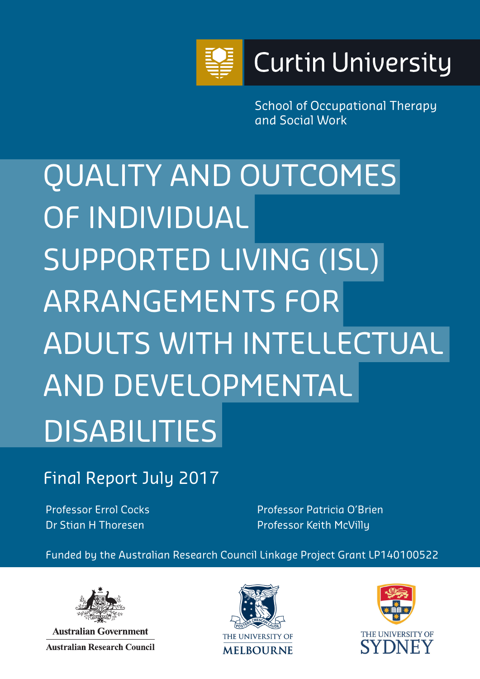

School of Occupational Therapy and Social Work

QUALITY AND OUTCOMES OF INDIVIDUAL SUPPORTED LIVING (ISL) ARRANGEMENTS FOR ADULTS WITH INTELLECTUAL AND DEVELOPMENTAL DISABILITIES

Final Report July 2017

Professor Errol Cocks Dr Stian H Thoresen

Professor Patricia O'Brien Professor Keith McVilly

Funded by the Australian Research Council Linkage Project Grant LP140100522



**Australian Government Australian Research Council** 



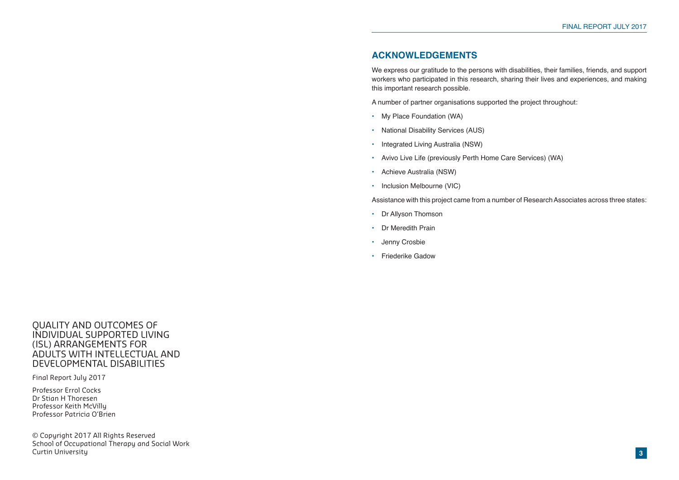# **ACKNOWLEDGEMENTS**

We express our gratitude to the persons with disabilities, their families, friends, and support workers who participated in this research, sharing their lives and experiences, and making this important research possible.

- My Place Foundation (WA)
- National Disability Services (AUS)
- Integrated Living Australia (NSW)
- Avivo Live Life (previously Perth Home Care Services) (WA)
- Achieve Australia (NSW)
- Inclusion Melbourne (VIC)

A number of partner organisations supported the project throughout:

Assistance with this project came from a number of Research Associates across three states:

- Dr Allyson Thomson
- Dr Meredith Prain
- Jenny Crosbie
- Friederike Gadow

QUALITY AND OUTCOMES OF INDIVIDUAL SUPPORTED LIVING (ISL) ARRANGEMENTS FOR ADULTS WITH INTELLECTUAL AND DEVELOPMENTAL DISABILITIES

Final Report July 2017

Professor Errol Cocks Dr Stian H Thoresen Professor Keith McVilly Professor Patricia O'Brien

© Copyright 2017 All Rights Reserved School of Occupational Therapy and Social Work Curtin University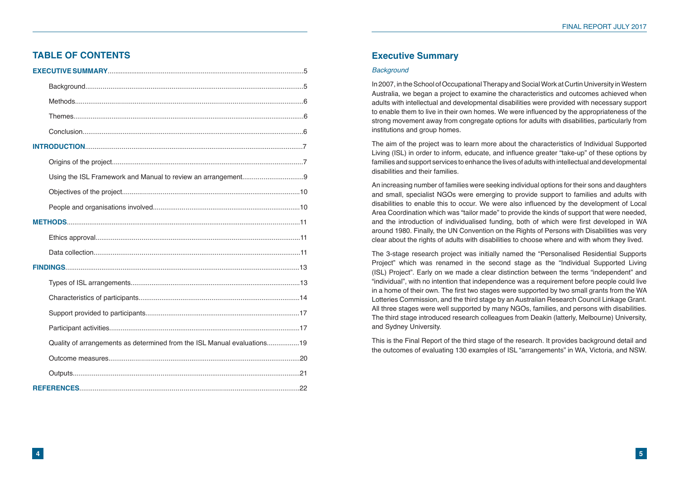# **TABLE OF CONTENTS**

| Quality of arrangements as determined from the ISL Manual evaluations19 |  |
|-------------------------------------------------------------------------|--|
|                                                                         |  |
|                                                                         |  |
|                                                                         |  |

# **Executive Summary**

#### *Background*

In 2007, in the School of Occupational Therapy and Social Work at Curtin University in Western Australia, we began a project to examine the characteristics and outcomes achieved when adults with intellectual and developmental disabilities were provided with necessary support to enable them to live in their own homes. We were influenced by the appropriateness of the strong movement away from congregate options for adults with disabilities, particularly from institutions and group homes.

The aim of the project was to learn more about the characteristics of Individual Supported Living (ISL) in order to inform, educate, and influence greater "take-up" of these options by families and support services to enhance the lives of adults with intellectual and developmental disabilities and their families.

An increasing number of families were seeking individual options for their sons and daughters and small, specialist NGOs were emerging to provide support to families and adults with disabilities to enable this to occur. We were also influenced by the development of Local Area Coordination which was "tailor made" to provide the kinds of support that were needed, and the introduction of individualised funding, both of which were first developed in WA around 1980. Finally, the UN Convention on the Rights of Persons with Disabilities was very clear about the rights of adults with disabilities to choose where and with whom they lived.

The 3-stage research project was initially named the "Personalised Residential Supports Project" which was renamed in the second stage as the "Individual Supported Living (ISL) Project". Early on we made a clear distinction between the terms "independent" and "individual", with no intention that independence was a requirement before people could live in a home of their own. The first two stages were supported by two small grants from the WA Lotteries Commission, and the third stage by an Australian Research Council Linkage Grant. All three stages were well supported by many NGOs, families, and persons with disabilities. The third stage introduced research colleagues from Deakin (latterly, Melbourne) University, and Sydney University.

This is the Final Report of the third stage of the research. It provides background detail and the outcomes of evaluating 130 examples of ISL "arrangements" in WA, Victoria, and NSW.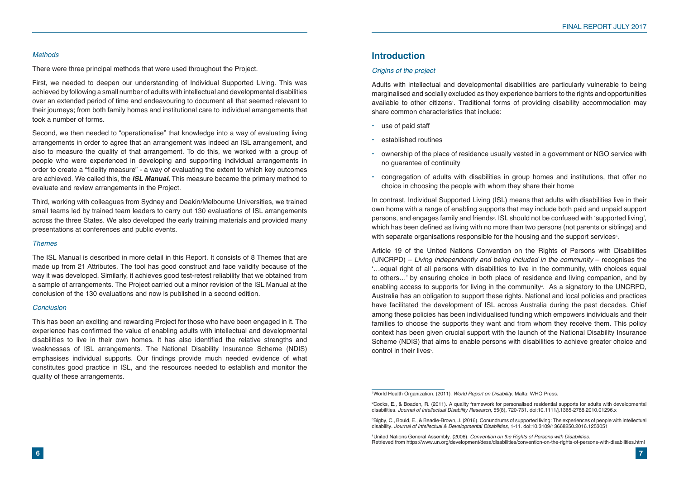#### *Methods*

There were three principal methods that were used throughout the Project.

First, we needed to deepen our understanding of Individual Supported Living. This was achieved by following a small number of adults with intellectual and developmental disabilities over an extended period of time and endeavouring to document all that seemed relevant to their journeys; from both family homes and institutional care to individual arrangements that took a number of forms.

Second, we then needed to "operationalise" that knowledge into a way of evaluating living arrangements in order to agree that an arrangement was indeed an ISL arrangement, and also to measure the quality of that arrangement. To do this, we worked with a group of people who were experienced in developing and supporting individual arrangements in order to create a "fidelity measure" - a way of evaluating the extent to which key outcomes are achieved. We called this, the *ISL Manual.* This measure became the primary method to evaluate and review arrangements in the Project.

Third, working with colleagues from Sydney and Deakin/Melbourne Universities, we trained small teams led by trained team leaders to carry out 130 evaluations of ISL arrangements across the three States. We also developed the early training materials and provided many presentations at conferences and public events.

#### *Themes*

In contrast, Individual Supported Living (ISL) means that adults with disabilities live in their own home with a range of enabling supports that may include both paid and unpaid support persons, and engages family and friends<sup>2</sup>. ISL should not be confused with 'supported living', which has been defined as living with no more than two persons (not parents or siblings) and with separate organisations responsible for the housing and the support services $^{\text{\tiny{3}}}$ .

The ISL Manual is described in more detail in this Report. It consists of 8 Themes that are made up from 21 Attributes. The tool has good construct and face validity because of the way it was developed. Similarly, it achieves good test-retest reliability that we obtained from a sample of arrangements. The Project carried out a minor revision of the ISL Manual at the conclusion of the 130 evaluations and now is published in a second edition.

Article 19 of the United Nations Convention on the Rights of Persons with Disabilities (UNCRPD) – *Living independently and being included in the community* – recognises the '…equal right of all persons with disabilities to live in the community, with choices equal to others…' by ensuring choice in both place of residence and living companion, and by enabling access to supports for living in the community<sup>4</sup>. As a signatory to the UNCRPD, Australia has an obligation to support these rights. National and local policies and practices have facilitated the development of ISL across Australia during the past decades. Chief among these policies has been individualised funding which empowers individuals and their families to choose the supports they want and from whom they receive them. This policy context has been given crucial support with the launch of the National Disability Insurance Scheme (NDIS) that aims to enable persons with disabilities to achieve greater choice and control in their lives<sup>5</sup>.

#### *Conclusion*

This has been an exciting and rewarding Project for those who have been engaged in it. The experience has confirmed the value of enabling adults with intellectual and developmental disabilities to live in their own homes. It has also identified the relative strengths and weaknesses of ISL arrangements. The National Disability Insurance Scheme (NDIS) emphasises individual supports. Our findings provide much needed evidence of what constitutes good practice in ISL, and the resources needed to establish and monitor the quality of these arrangements.



## **Introduction**

#### *Origins of the project*

Adults with intellectual and developmental disabilities are particularly vulnerable to being marginalised and socially excluded as they experience barriers to the rights and opportunities available to other citizens<sup>,</sup>. Traditional forms of providing disability accommodation may share common characteristics that include:

• ownership of the place of residence usually vested in a government or NGO service with

- use of paid staff
- established routines
- no guarantee of continuity
- congregation of adults with disabilities in group homes and institutions, that offer no choice in choosing the people with whom they share their home

<sup>1</sup> World Health Organization. (2011). *World Report on Disability.* Malta: WHO Press.

<sup>2</sup> Cocks, E., & Boaden, R. (2011). A quality framework for personalised residential supports for adults with developmental disabilities. *Journal of Intellectual Disability Research,* 55(8), 720-731. doi:10.1111/j.1365-2788.2010.01296.x

<sup>3</sup> Bigby, C., Bould, E., & Beadle-Brown, J. (2016). Conundrums of supported living: The experiences of people with intellectual disability. *Journal of Intellectual & Developmental Disabilities,* 1-11. doi:10.3109/13668250.2016.1253051

<sup>4</sup> United Nations General Assembly. (2006). *Convention on the Rights of Persons with Disabilities.* Retrieved from https://www.un.org/development/desa/disabilities/convention-on-the-rights-of-persons-with-disabilities.html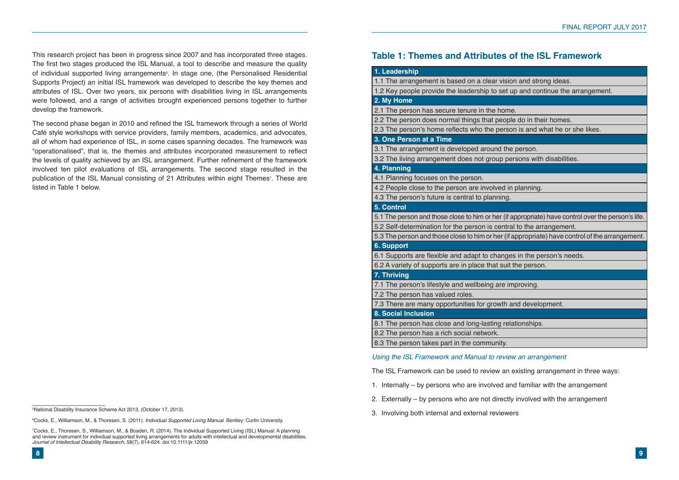This research project has been in progress since 2007 and has incorporated three stages. The first two stages produced the ISL Manual, a tool to describe and measure the quality of individual supported living arrangements<sup>。</sup> In stage one, (the Personalised Residential Supports Project) an initial ISL framework was developed to describe the key themes and attributes of ISL. Over two years, six persons with disabilities living in ISL arrangements were followed, and a range of activities brought experienced persons together to further develop the framework.

The second phase began in 2010 and refined the ISL framework through a series of World Café style workshops with service providers, family members, academics, and advocates, all of whom had experience of ISL, in some cases spanning decades. The framework was "operationalised", that is, the themes and attributes incorporated measurement to reflect the levels of quality achieved by an ISL arrangement. Further refinement of the framework involved ten pilot evaluations of ISL arrangements. The second stage resulted in the publication of the ISL Manual consisting of 21 Attributes within eight Themes<sup>,</sup>. These are listed in Table 1 below.

5 National Disability Insurance Scheme Act 2013, (October 17, 2013).

6 Cocks, E., Williamson, M., & Thoresen, S. (2011). *Individual Supported Living Manual*. Bentley: Curtin University.

7 Cocks, E., Thoresen, S., Williamson, M., & Boaden, R. (2014). The Individual Supported Living (ISL) Manual: A planning and review instrument for individual supported living arrangements for adults with intellectual and developmental disabilities. *Journal of Intellectual Disability Research,* 58(7), 614-624. doi:10.1111/jir.12059

| 1. Leadership                                       |
|-----------------------------------------------------|
| 1.1 The arrangement is based on a clear vision      |
| 1.2 Key people provide the leadership to set up     |
| 2. My Home                                          |
| 2.1 The person has secure tenure in the home.       |
| 2.2 The person does normal things that people       |
| 2.3 The person's home reflects who the person       |
| 3. One Person at a Time                             |
| 3.1 The arrangement is developed around the p       |
| 3.2 The living arrangement does not group pers      |
| 4. Planning                                         |
| 4.1 Planning focuses on the person.                 |
| 4.2 People close to the person are involved in p    |
| 4.3 The person's future is central to planning.     |
| 5. Control                                          |
| 5.1 The person and those close to him or her (if ap |
| 5.2 Self-determination for the person is central t  |
| 5.3 The person and those close to him or her (if ap |
| <b>6. Support</b>                                   |
| 6.1 Supports are flexible and adapt to changes      |
| 6.2 A variety of supports are in place that suit th |
| 7. Thriving                                         |
| 7.1 The person's lifestyle and wellbeing are imp    |
| 7.2 The person has valued roles.                    |
| 7.3 There are many opportunities for growth and     |
| <b>8. Social Inclusion</b>                          |
| 8.1 The person has close and long-lasting relati    |
| 8.2 The person has a rich social network.           |
| 8.3 The person takes part in the community.         |
| Using the ISL Framework and Manual to review        |
| The ISL Framework can be used to review an ex       |

#### *Using the ISL Framework and Manual to review an arrangement*

Existing arrangement in three ways:

- 1. Internally by persons who are involved and familiar with the arrangement
- 2. Externally by persons who are not directly involved with the arrangement
- 3. Involving both internal and external reviewers

1 and strong ideas.

1.2 and continue the arrangement.

do in their homes.

is and what he or she likes.

person.

sons with disabilities.

planning.

opropriate) have control over the person's life.

to the arrangement.

ppropriate) have control of the arrangement.

 $sin$  the person's needs. he person.

proving.

nd development.

tionships.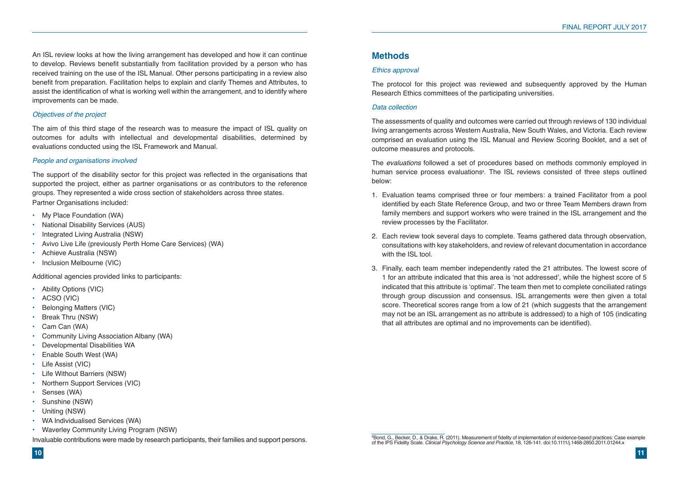An ISL review looks at how the living arrangement has developed and how it can continue to develop. Reviews benefit substantially from facilitation provided by a person who has received training on the use of the ISL Manual. Other persons participating in a review also benefit from preparation. Facilitation helps to explain and clarify Themes and Attributes, to assist the identification of what is working well within the arrangement, and to identify where improvements can be made.

## *Objectives of the project*

The aim of this third stage of the research was to measure the impact of ISL quality on outcomes for adults with intellectual and developmental disabilities, determined by evaluations conducted using the ISL Framework and Manual.

#### *People and organisations involved*

The support of the disability sector for this project was reflected in the organisations that supported the project, either as partner organisations or as contributors to the reference groups. They represented a wide cross section of stakeholders across three states. Partner Organisations included:

- My Place Foundation (WA)
- National Disability Services (AUS)
- Integrated Living Australia (NSW)
- Avivo Live Life (previously Perth Home Care Services) (WA)
- Achieve Australia (NSW)
- Inclusion Melbourne (VIC)

Additional agencies provided links to participants:

- Ability Options (VIC)
- ACSO (VIC)
- Belonging Matters (VIC)
- Break Thru (NSW)
- Cam Can (WA)
- Community Living Association Albany (WA)
- Developmental Disabilities WA
- Enable South West (WA)
- Life Assist (VIC)
- Life Without Barriers (NSW)
- Northern Support Services (VIC)
- Senses (WA)
- Sunshine (NSW)
- Uniting (NSW)
- WA Individualised Services (WA)
- Waverley Community Living Program (NSW)

Invaluable contributions were made by research participants, their families and support persons.



# **Methods**

#### *Ethics approval*

The protocol for this project was reviewed and subsequently approved by the Human Research Ethics committees of the participating universities.

## *Data collection*

The assessments of quality and outcomes were carried out through reviews of 130 individual living arrangements across Western Australia, New South Wales, and Victoria. Each review comprised an evaluation using the ISL Manual and Review Scoring Booklet, and a set of outcome measures and protocols.

The *evaluations* followed a set of procedures based on methods commonly employed in human service process evaluations<sup>8</sup>. The ISL reviews consisted of three steps outlined below:

identified by each State Reference Group, and two or three Team Members drawn from family members and support workers who were trained in the ISL arrangement and the

consultations with key stakeholders, and review of relevant documentation in accordance

- 1. Evaluation teams comprised three or four members: a trained Facilitator from a pool review processes by the Facilitator.
- 2. Each review took several days to complete. Teams gathered data through observation, with the ISL tool.
- 3. Finally, each team member independently rated the 21 attributes. The lowest score of that all attributes are optimal and no improvements can be identified).

1 for an attribute indicated that this area is 'not addressed', while the highest score of 5 indicated that this attribute is 'optimal'. The team then met to complete conciliated ratings through group discussion and consensus. ISL arrangements were then given a total score. Theoretical scores range from a low of 21 (which suggests that the arrangement may not be an ISL arrangement as no attribute is addressed) to a high of 105 (indicating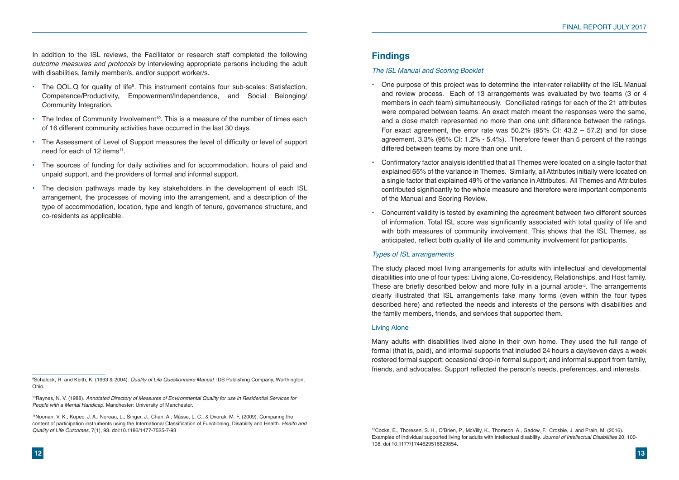In addition to the ISL reviews, the Facilitator or research staff completed the following *outcome measures and protocols* by interviewing appropriate persons including the adult with disabilities, family member/s, and/or support worker/s.

- The QOL.Q for quality of life<sup>9</sup>. This instrument contains four sub-scales: Satisfaction, Competence/Productivity, Empowerment/Independence, and Social Belonging/ Community Integration.
- $\cdot$  The Index of Community Involvement<sup>10</sup>. This is a measure of the number of times each of 16 different community activities have occurred in the last 30 days.
- The Assessment of Level of Support measures the level of difficulty or level of support need for each of 12 items<sup>11</sup>.
- The sources of funding for daily activities and for accommodation, hours of paid and unpaid support, and the providers of formal and informal support.
- The decision pathways made by key stakeholders in the development of each ISL arrangement, the processes of moving into the arrangement, and a description of the type of accommodation, location, type and length of tenure, governance structure, and co-residents as applicable.



# **Findings**

## *The ISL Manual and Scoring Booklet*

and review process. Each of 13 arrangements was evaluated by two teams (3 or 4

- One purpose of this project was to determine the inter-rater reliability of the ISL Manual members in each team) simultaneously. Conciliated ratings for each of the 21 attributes were compared between teams. An exact match meant the responses were the same, and a close match represented no more than one unit difference between the ratings. For exact agreement, the error rate was 50.2% (95% CI: 43.2 – 57.2) and for close agreement, 3.3% (95% CI: 1.2% - 5.4%). Therefore fewer than 5 percent of the ratings differed between teams by more than one unit.
- Confirmatory factor analysis identified that all Themes were located on a single factor that of the Manual and Scoring Review.
- Concurrent validity is tested by examining the agreement between two different sources anticipated, reflect both quality of life and community involvement for participants.

explained 65% of the variance in Themes. Similarly, all Attributes initially were located on a single factor that explained 49% of the variance in Attributes. All Themes and Attributes contributed significantly to the whole measure and therefore were important components

of information. Total ISL score was significantly associated with total quality of life and with both measures of community involvement. This shows that the ISL Themes, as

## *Types of ISL arrangements*

The study placed most living arrangements for adults with intellectual and developmental disabilities into one of four types: Living alone, Co-residency, Relationships, and Host family. These are briefly described below and more fully in a journal article<sup>12</sup>. The arrangements clearly illustrated that ISL arrangements take many forms (even within the four types described here) and reflected the needs and interests of the persons with disabilities and the family members, friends, and services that supported them.

## Living Alone

Many adults with disabilities lived alone in their own home. They used the full range of formal (that is, paid), and informal supports that included 24 hours a day/seven days a week rostered formal support; occasional drop-in formal support; and informal support from family, friends, and advocates. Support reflected the person's needs, preferences, and interests.

<sup>12</sup>Cocks, E., Thoresen, S. H., O'Brien, P., McVilly, K., Thomson, A., Gadow, F., Crosbie, J. and Prain, M. (2016). Examples of individual supported living for adults with intellectual disability. *Journal of Intellectual Disabilities* 20, 100- 108. doi:10.1177/1744629516629854.

<sup>9</sup> Schalock, R. and Keith, K. (1993 & 2004). *Quality of Life Questionnaire Manual.* IDS Publishing Company, Worthington, Ohio.

<sup>10</sup>Raynes, N. V. (1988). *Annotated Directory of Measures of Environmental Quality for use in Residential Services for People with a Mental Handicap.* Manchester: University of Manchester.

<sup>11</sup>Noonan, V. K., Kopec, J. A., Noreau, L., Singer, J., Chan, A., Mâsse, L. C., & Dvorak, M. F. (2009). Comparing the content of participation instruments using the International Classification of Functioning, Disability and Health. *Health and Quality of Life Outcomes,* 7(1), 93. doi:10.1186/1477-7525-7-93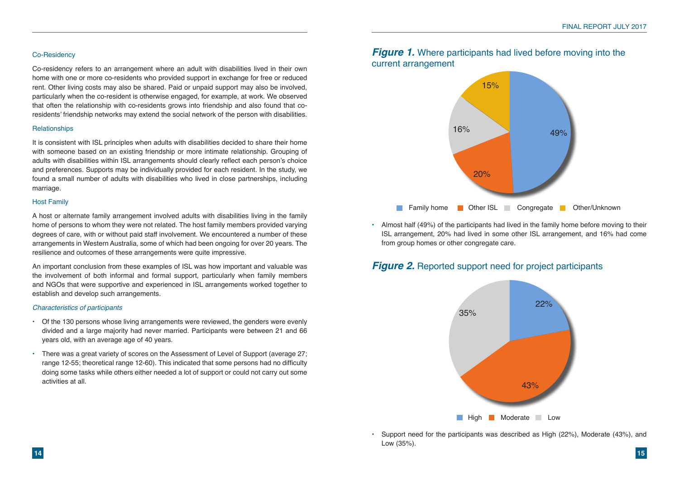#### Co-Residency

Co-residency refers to an arrangement where an adult with disabilities lived in their own home with one or more co-residents who provided support in exchange for free or reduced rent. Other living costs may also be shared. Paid or unpaid support may also be involved, particularly when the co-resident is otherwise engaged, for example, at work. We observed that often the relationship with co-residents grows into friendship and also found that coresidents' friendship networks may extend the social network of the person with disabilities.

#### **Relationships**

It is consistent with ISL principles when adults with disabilities decided to share their home with someone based on an existing friendship or more intimate relationship. Grouping of adults with disabilities within ISL arrangements should clearly reflect each person's choice and preferences. Supports may be individually provided for each resident. In the study, we found a small number of adults with disabilities who lived in close partnerships, including marriage.

#### Host Family

# *Figure 1.* Where participants had lived before moving into the current arrangement

A host or alternate family arrangement involved adults with disabilities living in the family home of persons to whom they were not related. The host family members provided varying degrees of care, with or without paid staff involvement. We encountered a number of these arrangements in Western Australia, some of which had been ongoing for over 20 years. The resilience and outcomes of these arrangements were quite impressive.

An important conclusion from these examples of ISL was how important and valuable was the involvement of both informal and formal support, particularly when family members and NGOs that were supportive and experienced in ISL arrangements worked together to establish and develop such arrangements.

#### *Characteristics of participants*

- Of the 130 persons whose living arrangements were reviewed, the genders were evenly divided and a large majority had never married. Participants were between 21 and 66 years old, with an average age of 40 years.
- There was a great variety of scores on the Assessment of Level of Support (average 27; range 12-55; theoretical range 12-60). This indicated that some persons had no difficulty doing some tasks while others either needed a lot of support or could not carry out some activities at all.



• Almost half (49%) of the participants had lived in the family home before moving to their ISL arrangement, 20% had lived in some other ISL arrangement, and 16% had come

from group homes or other congregate care.

# *Figure 2.* Reported support need for project participants

• Support need for the participants was described as High (22%), Moderate (43%), and

Low (35%).



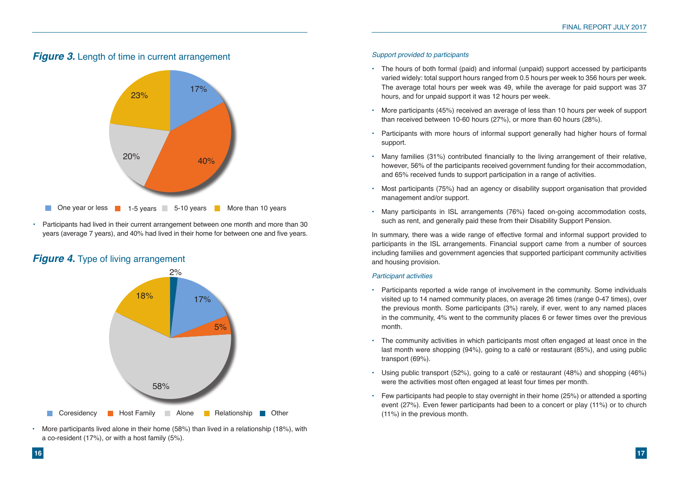

• More participants lived alone in their home (58%) than lived in a relationship (18%), with a co-resident (17%), or with a host family (5%).



## *Support provided to participants*

varied widely: total support hours ranged from 0.5 hours per week to 356 hours per week. The average total hours per week was 49, while the average for paid support was 37

- The hours of both formal (paid) and informal (unpaid) support accessed by participants hours, and for unpaid support it was 12 hours per week.
- More participants (45%) received an average of less than 10 hours per week of support than received between 10-60 hours (27%), or more than 60 hours (28%).
- Participants with more hours of informal support generally had higher hours of formal support.
- Many families (31%) contributed financially to the living arrangement of their relative, however, 56% of the participants received government funding for their accommodation, and 65% received funds to support participation in a range of activities.
- Most participants (75%) had an agency or disability support organisation that provided management and/or support.
- Many participants in ISL arrangements (76%) faced on-going accommodation costs, such as rent, and generally paid these from their Disability Support Pension.

In summary, there was a wide range of effective formal and informal support provided to participants in the ISL arrangements. Financial support came from a number of sources including families and government agencies that supported participant community activities and housing provision.

#### *Participant activities*

visited up to 14 named community places, on average 26 times (range 0-47 times), over the previous month. Some participants (3%) rarely, if ever, went to any named places in the community, 4% went to the community places 6 or fewer times over the previous

- Participants reported a wide range of involvement in the community. Some individuals month.
- The community activities in which participants most often engaged at least once in the transport (69%).
- Using public transport (52%), going to a café or restaurant (48%) and shopping (46%) were the activities most often engaged at least four times per month.
- (11%) in the previous month.

last month were shopping (94%), going to a café or restaurant (85%), and using public

• Few participants had people to stay overnight in their home (25%) or attended a sporting event (27%). Even fewer participants had been to a concert or play (11%) or to church

• Participants had lived in their current arrangement between one month and more than 30 years (average 7 years), and 40% had lived in their home for between one and five years.

# *Figure 4.* Type of living arrangement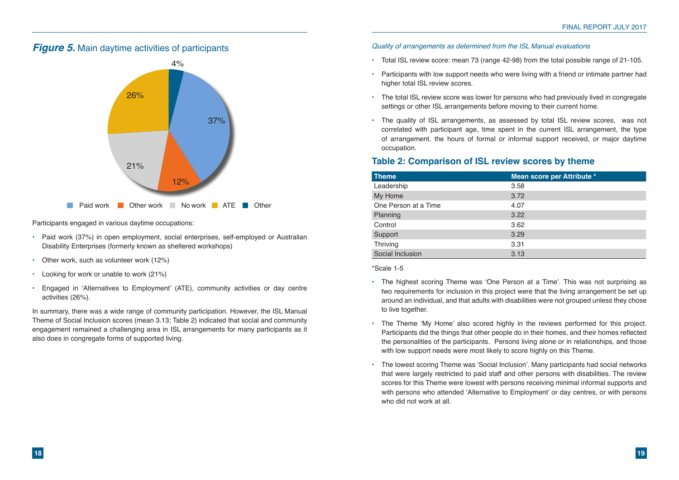Participants engaged in various daytime occupations:

- Paid work (37%) in open employment, social enterprises, self-employed or Australian Disability Enterprises (formerly known as sheltered workshops)
- Other work, such as volunteer work (12%)
- Looking for work or unable to work (21%)
- Engaged in 'Alternatives to Employment' (ATE), community activities or day centre activities (26%).



In summary, there was a wide range of community participation. However, the ISL Manual Theme of Social Inclusion scores (mean 3.13; Table 2) indicated that social and community engagement remained a challenging area in ISL arrangements for many participants as it also does in congregate forms of supported living.

## *Quality of arrangements as determined from the ISL Manual evaluations*

- Total ISL review score: mean 73 (range 42-98) from the total possible range of 21-105.
- Participants with low support needs who were living with a friend or intimate partner had higher total ISL review scores.
- The total ISL review score was lower for persons who had previously lived in congregate settings or other ISL arrangements before moving to their current home.
- The quality of ISL arrangements, as assessed by total ISL review scores, was not occupation.

correlated with participant age, time spent in the current ISL arrangement, the type of arrangement, the hours of formal or informal support received, or major daytime

# **Table 2: Comparison of ISL review scores by theme**

| <b>Theme</b>         | Mean score per Attribute * |
|----------------------|----------------------------|
| Leadership           | 3.58                       |
| My Home              | 3.72                       |
| One Person at a Time | 4.07                       |
| Planning             | 3.22                       |
| Control              | 3.62                       |
| Support              | 3.29                       |
| <b>Thriving</b>      | 3.31                       |
| Social Inclusion     | 3.13                       |

\*Scale 1-5

two requirements for inclusion in this project were that the living arrangement be set up around an individual, and that adults with disabilities were not grouped unless they chose

Participants did the things that other people do in their homes, and their homes reflected the personalities of the participants. Persons living alone or in relationships, and those

- The highest scoring Theme was 'One Person at a Time'. This was not surprising as to live together.
- The Theme 'My Home' also scored highly in the reviews performed for this project. with low support needs were most likely to score highly on this Theme.
- The lowest scoring Theme was 'Social Inclusion'. Many participants had social networks who did not work at all.

that were largely restricted to paid staff and other persons with disabilities. The review scores for this Theme were lowest with persons receiving minimal informal supports and with persons who attended 'Alternative to Employment' or day centres, or with persons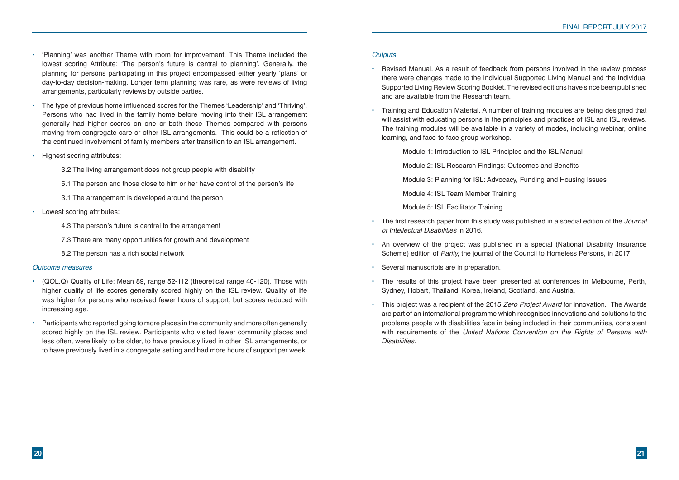- 'Planning' was another Theme with room for improvement. This Theme included the lowest scoring Attribute: 'The person's future is central to planning'. Generally, the planning for persons participating in this project encompassed either yearly 'plans' or day-to-day decision-making. Longer term planning was rare, as were reviews of living arrangements, particularly reviews by outside parties.
- The type of previous home influenced scores for the Themes 'Leadership' and 'Thriving'. Persons who had lived in the family home before moving into their ISL arrangement generally had higher scores on one or both these Themes compared with persons moving from congregate care or other ISL arrangements. This could be a reflection of the continued involvement of family members after transition to an ISL arrangement.
- Highest scoring attributes:
	- 3.2 The living arrangement does not group people with disability
	- 5.1 The person and those close to him or her have control of the person's life
	- 3.1 The arrangement is developed around the person
- Lowest scoring attributes:
	- 4.3 The person's future is central to the arrangement
	- 7.3 There are many opportunities for growth and development
	- 8.2 The person has a rich social network

#### *Outcome measures*

- (QOL.Q) Quality of Life: Mean 89, range 52-112 (theoretical range 40-120). Those with higher quality of life scores generally scored highly on the ISL review. Quality of life was higher for persons who received fewer hours of support, but scores reduced with increasing age.
- Participants who reported going to more places in the community and more often generally scored highly on the ISL review. Participants who visited fewer community places and less often, were likely to be older, to have previously lived in other ISL arrangements, or to have previously lived in a congregate setting and had more hours of support per week.

## *Outputs*

there were changes made to the Individual Supported Living Manual and the Individual Supported Living Review Scoring Booklet. The revised editions have since been published

will assist with educating persons in the principles and practices of ISL and ISL reviews. The training modules will be available in a variety of modes, including webinar, online

- Revised Manual. As a result of feedback from persons involved in the review process and are available from the Research team.
- Training and Education Material. A number of training modules are being designed that learning, and face-to-face group workshop.
	- Module 1: Introduction to ISL Principles and the ISL Manual
	- Module 2: ISL Research Findings: Outcomes and Benefits
	- Module 3: Planning for ISL: Advocacy, Funding and Housing Issues
	- Module 4: ISL Team Member Training
	- Module 5: ISL Facilitator Training
- The first research paper from this study was published in a special edition of the *Journal of Intellectual Disabilities* in 2016.
- An overview of the project was published in a special (National Disability Insurance Scheme) edition of *Parity,* the journal of the Council to Homeless Persons, in 2017
- Several manuscripts are in preparation.
- The results of this project have been presented at conferences in Melbourne, Perth, Sydney, Hobart, Thailand, Korea, Ireland, Scotland, and Austria.
- This project was a recipient of the 2015 *Zero Project Award* for innovation. The Awards *Disabilities.*

are part of an international programme which recognises innovations and solutions to the problems people with disabilities face in being included in their communities, consistent with requirements of the *United Nations Convention on the Rights of Persons with*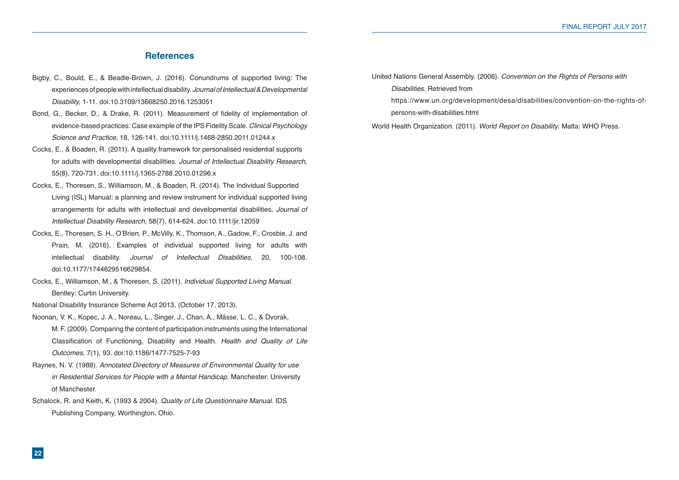## **References**

- Bigby, C., Bould, E., & Beadle-Brown, J. (2016). Conundrums of supported living: The experiences of people with intellectual disability. *Journal of Intellectual & Developmental Disability,* 1-11. doi:10.3109/13668250.2016.1253051
- Bond, G., Becker, D., & Drake, R. (2011). Measurement of fidelity of implementation of evidence-based practices: Case example of the IPS Fidelity Scale. *Clinical Psychology Science and Practice,* 18, 126-141. doi:10.1111/j.1468-2850.2011.01244.x
- Cocks, E., & Boaden, R. (2011). A quality framework for personalised residential supports for adults with developmental disabilities. *Journal of Intellectual Disability Research,* 55(8), 720-731. doi:10.1111/j.1365-2788.2010.01296.x
- Cocks, E., Thoresen, S., Williamson, M., & Boaden, R. (2014). The Individual Supported Living (ISL) Manual: a planning and review instrument for individual supported living arrangements for adults with intellectual and developmental disabilities. *Journal of Intellectual Disability Research*, 58(7), 614-624. doi:10.1111/jir.12059
- Cocks, E., Thoresen, S. H., O'Brien, P., McVilly, K., Thomson, A., Gadow, F., Crosbie, J. and Prain, M. (2016). Examples of individual supported living for adults with intellectual disability. *Journal of Intellectual Disabilities,* 20, 100-108. doi:10.1177/1744629516629854.
- Cocks, E., Williamson, M., & Thoresen, S. (2011). *Individual Supported Living Manual.* Bentley: Curtin University.

National Disability Insurance Scheme Act 2013, (October 17, 2013).

- Noonan, V. K., Kopec, J. A., Noreau, L., Singer, J., Chan, A., Mâsse, L. C., & Dvorak, M. F. (2009). Comparing the content of participation instruments using the International Classification of Functioning, Disability and Health. *Health and Quality of Life Outcomes,* 7(1), 93. doi:10.1186/1477-7525-7-93
- Raynes, N. V. (1988). *Annotated Directory of Measures of Environmental Quality for use in Residential Services for People with a Mental Handicap.* Manchester: University of Manchester.
- Schalock, R. and Keith, K. (1993 & 2004). *Quality of Life Questionnaire Manual.* IDS Publishing Company, Worthington, Ohio.

United Nations General Assembly. (2006). *Convention on the Rights of Persons with Disabilities.* Retrieved from https://www.un.org/development/desa/disabilities/convention-on-the-rights-ofpersons-with-disabilities.html

World Health Organization. (2011). *World Report on Disability*. Malta: WHO Press.